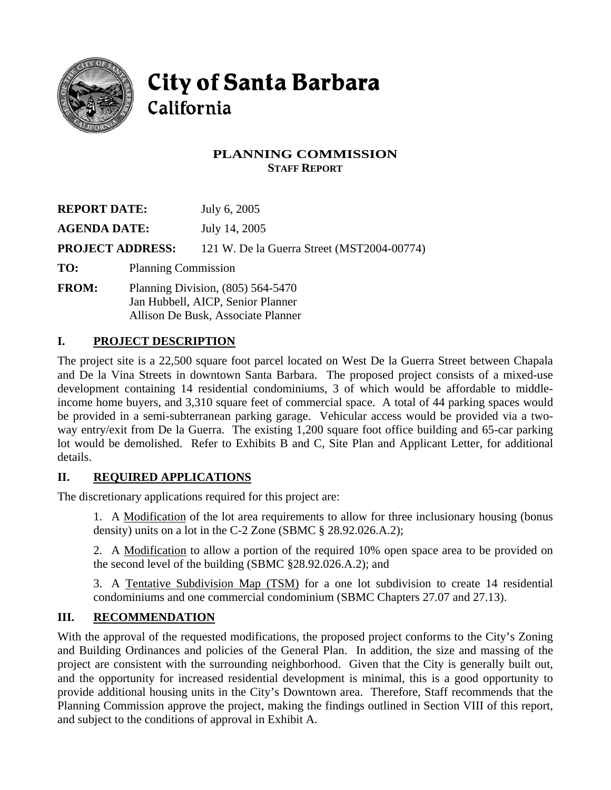

# **City of Santa Barbara** California

## **PLANNING COMMISSION STAFF REPORT**

| <b>REPORT DATE:</b>     |                                                                          | July 6, 2005                               |
|-------------------------|--------------------------------------------------------------------------|--------------------------------------------|
| <b>AGENDA DATE:</b>     |                                                                          | July 14, 2005                              |
| <b>PROJECT ADDRESS:</b> |                                                                          | 121 W. De la Guerra Street (MST2004-00774) |
| TO:                     | <b>Planning Commission</b>                                               |                                            |
| <b>FROM:</b>            | Planning Division, $(805)$ 564-5470<br>Jan Hubbell, AICP, Senior Planner |                                            |

Allison De Busk, Associate Planner

# **I. PROJECT DESCRIPTION**

The project site is a 22,500 square foot parcel located on West De la Guerra Street between Chapala and De la Vina Streets in downtown Santa Barbara. The proposed project consists of a mixed-use development containing 14 residential condominiums, 3 of which would be affordable to middleincome home buyers, and 3,310 square feet of commercial space. A total of 44 parking spaces would be provided in a semi-subterranean parking garage. Vehicular access would be provided via a twoway entry/exit from De la Guerra. The existing 1,200 square foot office building and 65-car parking lot would be demolished. Refer to Exhibits B and C, Site Plan and Applicant Letter, for additional details.

## **II. REQUIRED APPLICATIONS**

The discretionary applications required for this project are:

1. A Modification of the lot area requirements to allow for three inclusionary housing (bonus density) units on a lot in the C-2 Zone (SBMC § 28.92.026.A.2);

2. A Modification to allow a portion of the required 10% open space area to be provided on the second level of the building (SBMC §28.92.026.A.2); and

3. A Tentative Subdivision Map (TSM) for a one lot subdivision to create 14 residential condominiums and one commercial condominium (SBMC Chapters 27.07 and 27.13).

# **III. RECOMMENDATION**

With the approval of the requested modifications, the proposed project conforms to the City's Zoning and Building Ordinances and policies of the General Plan. In addition, the size and massing of the project are consistent with the surrounding neighborhood. Given that the City is generally built out, and the opportunity for increased residential development is minimal, this is a good opportunity to provide additional housing units in the City's Downtown area. Therefore, Staff recommends that the Planning Commission approve the project, making the findings outlined in Section VIII of this report, and subject to the conditions of approval in Exhibit A.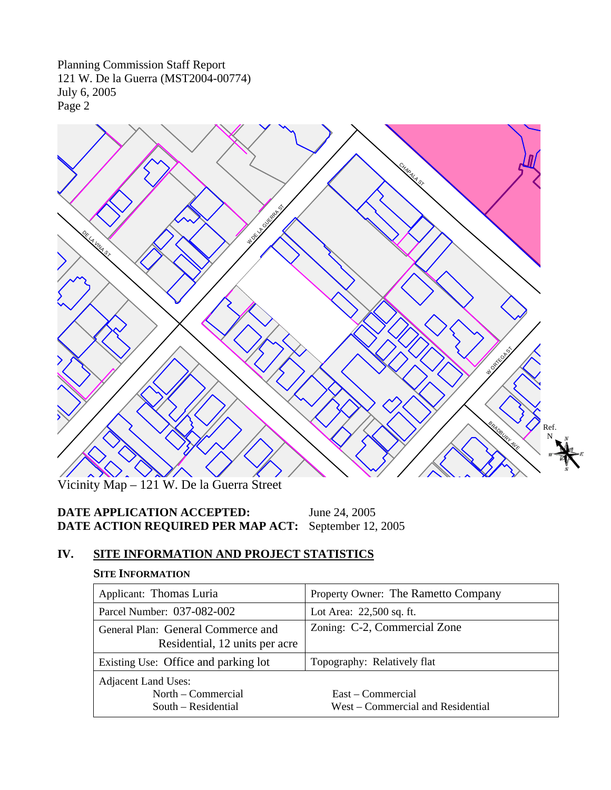

Vicinity Map – 121 W. De la Guerra Street

# **DATE APPLICATION ACCEPTED:** June 24, 2005 **DATE ACTION REQUIRED PER MAP ACT:** September 12, 2005

# **IV. SITE INFORMATION AND PROJECT STATISTICS**

#### **SITE INFORMATION**

| Applicant: Thomas Luria                                                 | Property Owner: The Rametto Company                    |
|-------------------------------------------------------------------------|--------------------------------------------------------|
| Parcel Number: 037-082-002                                              | Lot Area: 22,500 sq. ft.                               |
| General Plan: General Commerce and<br>Residential, 12 units per acre    | Zoning: C-2, Commercial Zone                           |
| Existing Use: Office and parking lot                                    | Topography: Relatively flat                            |
| <b>Adjacent Land Uses:</b><br>North – Commercial<br>South – Residential | East – Commercial<br>West – Commercial and Residential |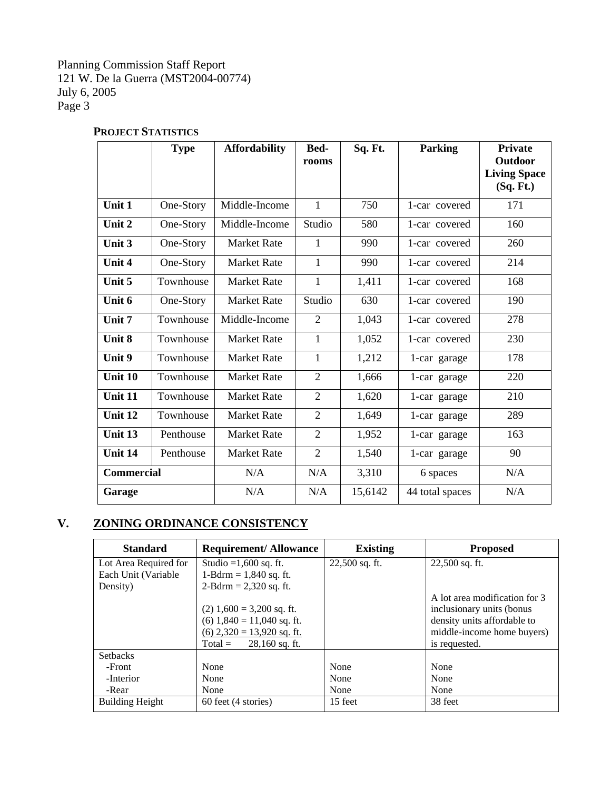|                   | <b>Type</b> | <b>Affordability</b> | Bed-<br>rooms  | Sq. Ft. | <b>Parking</b>  | <b>Private</b><br>Outdoor<br><b>Living Space</b><br>(Sq. Ft.) |
|-------------------|-------------|----------------------|----------------|---------|-----------------|---------------------------------------------------------------|
| Unit 1            | One-Story   | Middle-Income        | $\mathbf{1}$   | 750     | 1-car covered   | 171                                                           |
| Unit 2            | One-Story   | Middle-Income        | Studio         | 580     | 1-car covered   | 160                                                           |
| Unit 3            | One-Story   | <b>Market Rate</b>   | 1              | 990     | 1-car covered   | 260                                                           |
| Unit 4            | One-Story   | <b>Market Rate</b>   | $\mathbf{1}$   | 990     | 1-car covered   | 214                                                           |
| Unit 5            | Townhouse   | <b>Market Rate</b>   | $\mathbf{1}$   | 1,411   | 1-car covered   | 168                                                           |
| Unit 6            | One-Story   | <b>Market Rate</b>   | Studio         | 630     | 1-car covered   | 190                                                           |
| Unit 7            | Townhouse   | Middle-Income        | $\overline{2}$ | 1,043   | 1-car covered   | 278                                                           |
| Unit 8            | Townhouse   | <b>Market Rate</b>   | 1              | 1,052   | 1-car covered   | 230                                                           |
| Unit 9            | Townhouse   | <b>Market Rate</b>   | $\mathbf{1}$   | 1,212   | 1-car garage    | 178                                                           |
| Unit 10           | Townhouse   | <b>Market Rate</b>   | $\overline{2}$ | 1,666   | 1-car garage    | 220                                                           |
| Unit 11           | Townhouse   | <b>Market Rate</b>   | $\overline{2}$ | 1,620   | 1-car garage    | 210                                                           |
| Unit 12           | Townhouse   | <b>Market Rate</b>   | $\overline{2}$ | 1,649   | 1-car garage    | 289                                                           |
| Unit 13           | Penthouse   | <b>Market Rate</b>   | $\overline{2}$ | 1,952   | 1-car garage    | 163                                                           |
| Unit 14           | Penthouse   | <b>Market Rate</b>   | $\overline{2}$ | 1,540   | 1-car garage    | 90                                                            |
| <b>Commercial</b> |             | N/A                  | N/A            | 3,310   | 6 spaces        | N/A                                                           |
| Garage            |             | N/A                  | N/A            | 15,6142 | 44 total spaces | N/A                                                           |

# **PROJECT STATISTICS**

# **V. ZONING ORDINANCE CONSISTENCY**

| <b>Standard</b>        | <b>Requirement/Allowance</b>  | <b>Existing</b> | <b>Proposed</b>               |
|------------------------|-------------------------------|-----------------|-------------------------------|
| Lot Area Required for  | Studio = $1,600$ sq. ft.      | 22,500 sq. ft.  | $22,500$ sq. ft.              |
| Each Unit (Variable    | 1-Bdrm = $1,840$ sq. ft.      |                 |                               |
| Density)               | $2-Bdrm = 2,320$ sq. ft.      |                 |                               |
|                        |                               |                 | A lot area modification for 3 |
|                        | $(2)$ 1,600 = 3,200 sq. ft.   |                 | inclusionary units (bonus     |
|                        | $(6)$ 1,840 = 11,040 sq. ft.  |                 | density units affordable to   |
|                        | $(6)$ 2,320 = 13,920 sq. ft.  |                 | middle-income home buyers)    |
|                        | $28,160$ sq. ft.<br>$Total =$ |                 | is requested.                 |
| <b>Setbacks</b>        |                               |                 |                               |
| -Front                 | None                          | None            | None                          |
| -Interior              | None                          | None            | None                          |
| -Rear                  | None                          | None            | None                          |
| <b>Building Height</b> | 60 feet (4 stories)           | 15 feet         | 38 feet                       |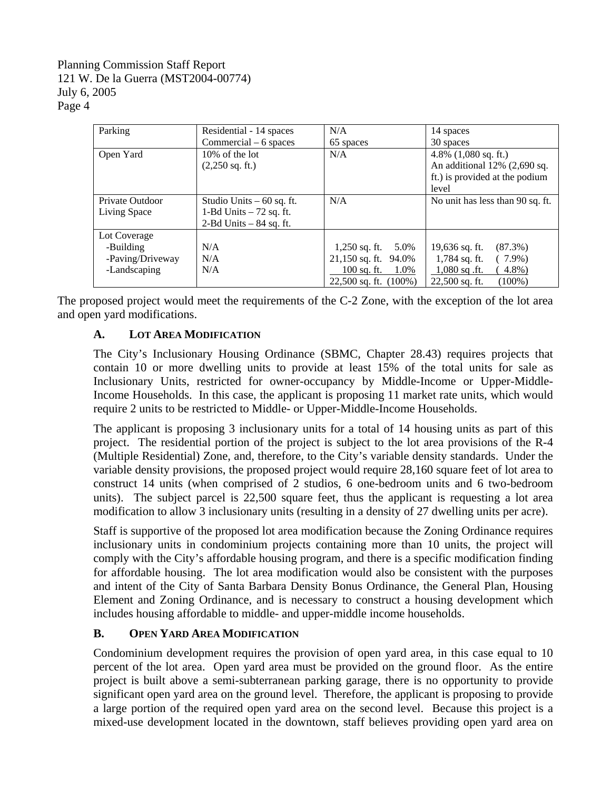| Parking                                                       | Residential - 14 spaces<br>$Commercial - 6 spaces$                                    | N/A<br>65 spaces                                                                                                 | 14 spaces<br>30 spaces                                                                                                    |
|---------------------------------------------------------------|---------------------------------------------------------------------------------------|------------------------------------------------------------------------------------------------------------------|---------------------------------------------------------------------------------------------------------------------------|
| Open Yard                                                     | $10\%$ of the lot<br>$(2,250 \text{ sq. ft.})$                                        | N/A                                                                                                              | 4.8% $(1,080 \text{ sq. ft.})$<br>An additional $12\%$ (2,690 sq.<br>ft.) is provided at the podium<br>level              |
| Private Outdoor<br>Living Space                               | Studio Units $-60$ sq. ft.<br>1-Bd Units $-72$ sq. ft.<br>$2$ -Bd Units $-84$ sq. ft. | N/A                                                                                                              | No unit has less than 90 sq. ft.                                                                                          |
| Lot Coverage<br>-Building<br>-Paving/Driveway<br>-Landscaping | N/A<br>N/A<br>N/A                                                                     | $1,250$ sq. ft.<br>5.0%<br>$21,150$ sq. ft.<br>94.0%<br><u>100 sq. ft.</u><br>1.0%<br>$22,500$ sq. ft. $(100\%)$ | 19,636 sq. ft.<br>$(87.3\%)$<br>$1,784$ sq. ft.<br>$(7.9\%)$<br>$1,080$ sq .ft.<br>4.8%)<br>$22,500$ sq. ft.<br>$(100\%)$ |

The proposed project would meet the requirements of the C-2 Zone, with the exception of the lot area and open yard modifications.

## **A. LOT AREA MODIFICATION**

The City's Inclusionary Housing Ordinance (SBMC, Chapter 28.43) requires projects that contain 10 or more dwelling units to provide at least 15% of the total units for sale as Inclusionary Units, restricted for owner-occupancy by Middle-Income or Upper-Middle-Income Households. In this case, the applicant is proposing 11 market rate units, which would require 2 units to be restricted to Middle- or Upper-Middle-Income Households.

The applicant is proposing 3 inclusionary units for a total of 14 housing units as part of this project. The residential portion of the project is subject to the lot area provisions of the R-4 (Multiple Residential) Zone, and, therefore, to the City's variable density standards. Under the variable density provisions, the proposed project would require 28,160 square feet of lot area to construct 14 units (when comprised of 2 studios, 6 one-bedroom units and 6 two-bedroom units). The subject parcel is 22,500 square feet, thus the applicant is requesting a lot area modification to allow 3 inclusionary units (resulting in a density of 27 dwelling units per acre).

Staff is supportive of the proposed lot area modification because the Zoning Ordinance requires inclusionary units in condominium projects containing more than 10 units, the project will comply with the City's affordable housing program, and there is a specific modification finding for affordable housing. The lot area modification would also be consistent with the purposes and intent of the City of Santa Barbara Density Bonus Ordinance, the General Plan, Housing Element and Zoning Ordinance, and is necessary to construct a housing development which includes housing affordable to middle- and upper-middle income households.

## **B. OPEN YARD AREA MODIFICATION**

Condominium development requires the provision of open yard area, in this case equal to 10 percent of the lot area. Open yard area must be provided on the ground floor. As the entire project is built above a semi-subterranean parking garage, there is no opportunity to provide significant open yard area on the ground level. Therefore, the applicant is proposing to provide a large portion of the required open yard area on the second level. Because this project is a mixed-use development located in the downtown, staff believes providing open yard area on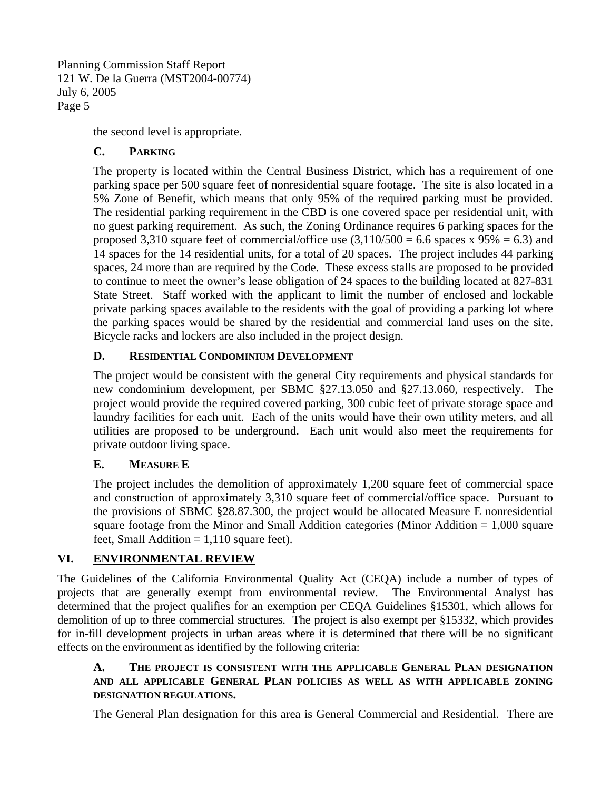the second level is appropriate.

## **C. PARKING**

The property is located within the Central Business District, which has a requirement of one parking space per 500 square feet of nonresidential square footage. The site is also located in a 5% Zone of Benefit, which means that only 95% of the required parking must be provided. The residential parking requirement in the CBD is one covered space per residential unit, with no guest parking requirement. As such, the Zoning Ordinance requires 6 parking spaces for the proposed 3,310 square feet of commercial/office use  $(3,110/500 = 6.6$  spaces x  $95\% = 6.3$ ) and 14 spaces for the 14 residential units, for a total of 20 spaces. The project includes 44 parking spaces, 24 more than are required by the Code. These excess stalls are proposed to be provided to continue to meet the owner's lease obligation of 24 spaces to the building located at 827-831 State Street. Staff worked with the applicant to limit the number of enclosed and lockable private parking spaces available to the residents with the goal of providing a parking lot where the parking spaces would be shared by the residential and commercial land uses on the site. Bicycle racks and lockers are also included in the project design.

## **D. RESIDENTIAL CONDOMINIUM DEVELOPMENT**

The project would be consistent with the general City requirements and physical standards for new condominium development, per SBMC §27.13.050 and §27.13.060, respectively. The project would provide the required covered parking, 300 cubic feet of private storage space and laundry facilities for each unit. Each of the units would have their own utility meters, and all utilities are proposed to be underground. Each unit would also meet the requirements for private outdoor living space.

## **E. MEASURE E**

The project includes the demolition of approximately 1,200 square feet of commercial space and construction of approximately 3,310 square feet of commercial/office space. Pursuant to the provisions of SBMC §28.87.300, the project would be allocated Measure E nonresidential square footage from the Minor and Small Addition categories (Minor Addition  $= 1,000$  square feet, Small Addition  $= 1,110$  square feet).

## **VI. ENVIRONMENTAL REVIEW**

The Guidelines of the California Environmental Quality Act (CEQA) include a number of types of projects that are generally exempt from environmental review. The Environmental Analyst has determined that the project qualifies for an exemption per CEQA Guidelines §15301, which allows for demolition of up to three commercial structures. The project is also exempt per §15332, which provides for in-fill development projects in urban areas where it is determined that there will be no significant effects on the environment as identified by the following criteria:

## **A. THE PROJECT IS CONSISTENT WITH THE APPLICABLE GENERAL PLAN DESIGNATION AND ALL APPLICABLE GENERAL PLAN POLICIES AS WELL AS WITH APPLICABLE ZONING DESIGNATION REGULATIONS.**

The General Plan designation for this area is General Commercial and Residential. There are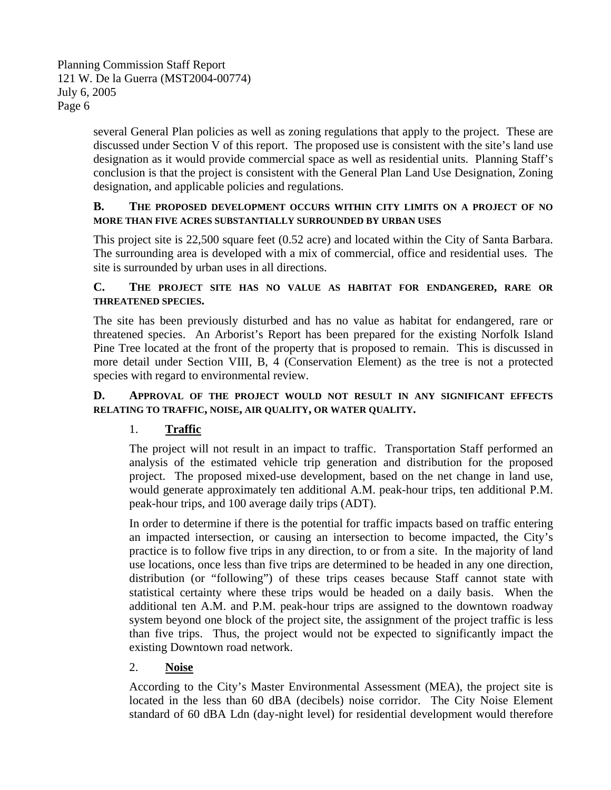several General Plan policies as well as zoning regulations that apply to the project. These are discussed under Section V of this report. The proposed use is consistent with the site's land use designation as it would provide commercial space as well as residential units. Planning Staff's conclusion is that the project is consistent with the General Plan Land Use Designation, Zoning designation, and applicable policies and regulations.

#### **B. THE PROPOSED DEVELOPMENT OCCURS WITHIN CITY LIMITS ON A PROJECT OF NO MORE THAN FIVE ACRES SUBSTANTIALLY SURROUNDED BY URBAN USES**

This project site is 22,500 square feet (0.52 acre) and located within the City of Santa Barbara. The surrounding area is developed with a mix of commercial, office and residential uses. The site is surrounded by urban uses in all directions.

## **C. THE PROJECT SITE HAS NO VALUE AS HABITAT FOR ENDANGERED, RARE OR THREATENED SPECIES.**

The site has been previously disturbed and has no value as habitat for endangered, rare or threatened species. An Arborist's Report has been prepared for the existing Norfolk Island Pine Tree located at the front of the property that is proposed to remain. This is discussed in more detail under Section VIII, B, 4 (Conservation Element) as the tree is not a protected species with regard to environmental review.

## **D. APPROVAL OF THE PROJECT WOULD NOT RESULT IN ANY SIGNIFICANT EFFECTS RELATING TO TRAFFIC, NOISE, AIR QUALITY, OR WATER QUALITY.**

## 1. **Traffic**

The project will not result in an impact to traffic. Transportation Staff performed an analysis of the estimated vehicle trip generation and distribution for the proposed project. The proposed mixed-use development, based on the net change in land use, would generate approximately ten additional A.M. peak-hour trips, ten additional P.M. peak-hour trips, and 100 average daily trips (ADT).

In order to determine if there is the potential for traffic impacts based on traffic entering an impacted intersection, or causing an intersection to become impacted, the City's practice is to follow five trips in any direction, to or from a site. In the majority of land use locations, once less than five trips are determined to be headed in any one direction, distribution (or "following") of these trips ceases because Staff cannot state with statistical certainty where these trips would be headed on a daily basis. When the additional ten A.M. and P.M. peak-hour trips are assigned to the downtown roadway system beyond one block of the project site, the assignment of the project traffic is less than five trips. Thus, the project would not be expected to significantly impact the existing Downtown road network.

## 2. **Noise**

According to the City's Master Environmental Assessment (MEA), the project site is located in the less than 60 dBA (decibels) noise corridor. The City Noise Element standard of 60 dBA Ldn (day-night level) for residential development would therefore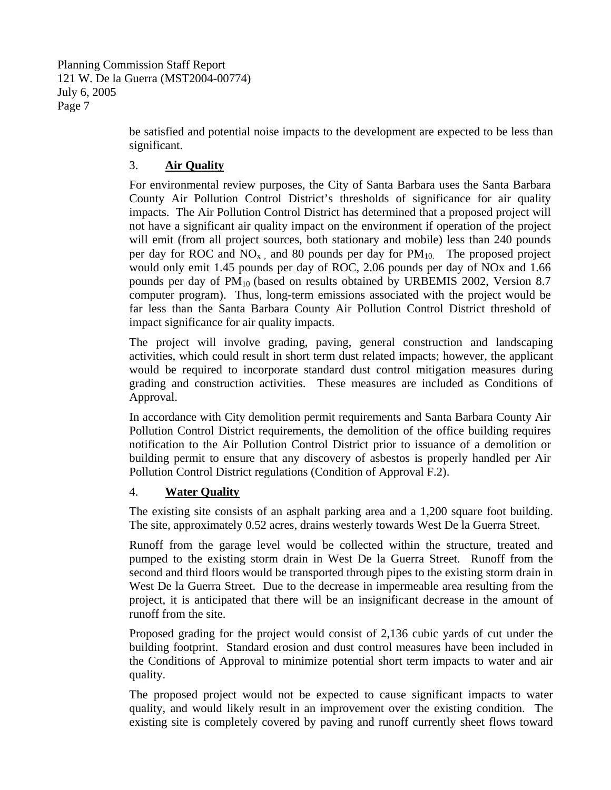be satisfied and potential noise impacts to the development are expected to be less than significant.

## 3. **Air Quality**

For environmental review purposes, the City of Santa Barbara uses the Santa Barbara County Air Pollution Control District's thresholds of significance for air quality impacts. The Air Pollution Control District has determined that a proposed project will not have a significant air quality impact on the environment if operation of the project will emit (from all project sources, both stationary and mobile) less than 240 pounds per day for ROC and  $NO<sub>x</sub>$ , and 80 pounds per day for  $PM<sub>10</sub>$ . The proposed project would only emit 1.45 pounds per day of ROC, 2.06 pounds per day of NOx and 1.66 pounds per day of PM10 (based on results obtained by URBEMIS 2002, Version 8.7 computer program). Thus, long-term emissions associated with the project would be far less than the Santa Barbara County Air Pollution Control District threshold of impact significance for air quality impacts.

The project will involve grading, paving, general construction and landscaping activities, which could result in short term dust related impacts; however, the applicant would be required to incorporate standard dust control mitigation measures during grading and construction activities. These measures are included as Conditions of Approval.

In accordance with City demolition permit requirements and Santa Barbara County Air Pollution Control District requirements, the demolition of the office building requires notification to the Air Pollution Control District prior to issuance of a demolition or building permit to ensure that any discovery of asbestos is properly handled per Air Pollution Control District regulations (Condition of Approval F.2).

## 4. **Water Quality**

The existing site consists of an asphalt parking area and a 1,200 square foot building. The site, approximately 0.52 acres, drains westerly towards West De la Guerra Street.

Runoff from the garage level would be collected within the structure, treated and pumped to the existing storm drain in West De la Guerra Street. Runoff from the second and third floors would be transported through pipes to the existing storm drain in West De la Guerra Street. Due to the decrease in impermeable area resulting from the project, it is anticipated that there will be an insignificant decrease in the amount of runoff from the site.

Proposed grading for the project would consist of 2,136 cubic yards of cut under the building footprint. Standard erosion and dust control measures have been included in the Conditions of Approval to minimize potential short term impacts to water and air quality.

The proposed project would not be expected to cause significant impacts to water quality, and would likely result in an improvement over the existing condition. The existing site is completely covered by paving and runoff currently sheet flows toward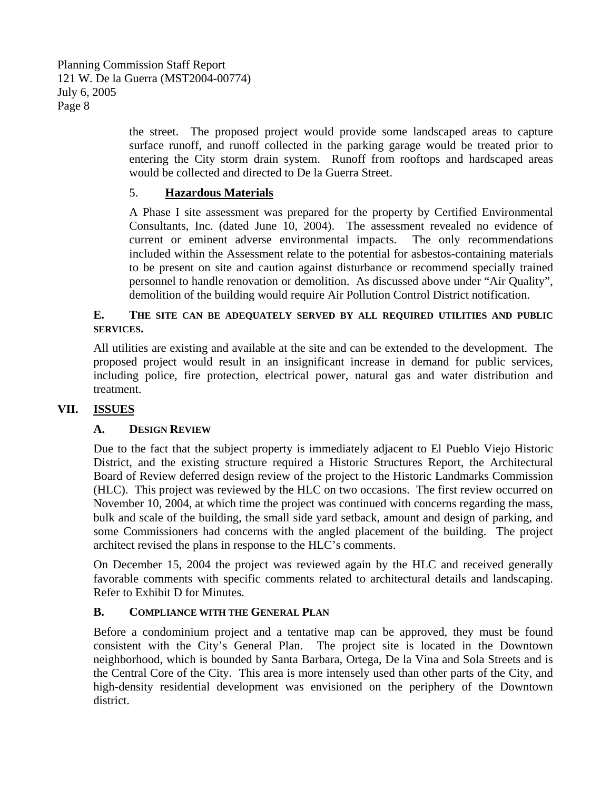the street. The proposed project would provide some landscaped areas to capture surface runoff, and runoff collected in the parking garage would be treated prior to entering the City storm drain system. Runoff from rooftops and hardscaped areas would be collected and directed to De la Guerra Street.

#### 5. **Hazardous Materials**

A Phase I site assessment was prepared for the property by Certified Environmental Consultants, Inc. (dated June 10, 2004). The assessment revealed no evidence of current or eminent adverse environmental impacts. The only recommendations included within the Assessment relate to the potential for asbestos-containing materials to be present on site and caution against disturbance or recommend specially trained personnel to handle renovation or demolition. As discussed above under "Air Quality", demolition of the building would require Air Pollution Control District notification.

#### **E. THE SITE CAN BE ADEQUATELY SERVED BY ALL REQUIRED UTILITIES AND PUBLIC SERVICES.**

All utilities are existing and available at the site and can be extended to the development. The proposed project would result in an insignificant increase in demand for public services, including police, fire protection, electrical power, natural gas and water distribution and treatment.

## **VII. ISSUES**

## **A. DESIGN REVIEW**

Due to the fact that the subject property is immediately adjacent to El Pueblo Viejo Historic District, and the existing structure required a Historic Structures Report, the Architectural Board of Review deferred design review of the project to the Historic Landmarks Commission (HLC). This project was reviewed by the HLC on two occasions. The first review occurred on November 10, 2004, at which time the project was continued with concerns regarding the mass, bulk and scale of the building, the small side yard setback, amount and design of parking, and some Commissioners had concerns with the angled placement of the building. The project architect revised the plans in response to the HLC's comments.

On December 15, 2004 the project was reviewed again by the HLC and received generally favorable comments with specific comments related to architectural details and landscaping. Refer to Exhibit D for Minutes.

## **B. COMPLIANCE WITH THE GENERAL PLAN**

Before a condominium project and a tentative map can be approved, they must be found consistent with the City's General Plan. The project site is located in the Downtown neighborhood, which is bounded by Santa Barbara, Ortega, De la Vina and Sola Streets and is the Central Core of the City. This area is more intensely used than other parts of the City, and high-density residential development was envisioned on the periphery of the Downtown district.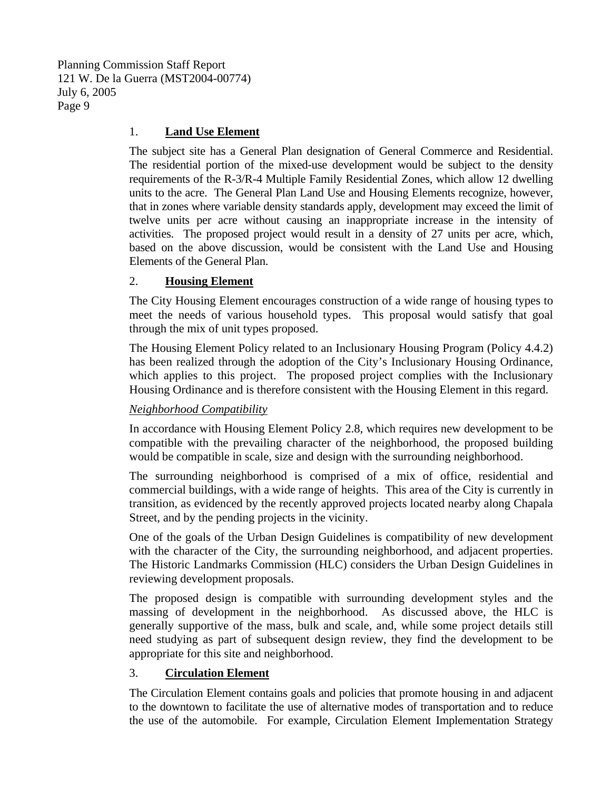#### 1. **Land Use Element**

The subject site has a General Plan designation of General Commerce and Residential. The residential portion of the mixed-use development would be subject to the density requirements of the R-3/R-4 Multiple Family Residential Zones, which allow 12 dwelling units to the acre. The General Plan Land Use and Housing Elements recognize, however, that in zones where variable density standards apply, development may exceed the limit of twelve units per acre without causing an inappropriate increase in the intensity of activities. The proposed project would result in a density of 27 units per acre, which, based on the above discussion, would be consistent with the Land Use and Housing Elements of the General Plan.

#### 2. **Housing Element**

The City Housing Element encourages construction of a wide range of housing types to meet the needs of various household types. This proposal would satisfy that goal through the mix of unit types proposed.

The Housing Element Policy related to an Inclusionary Housing Program (Policy 4.4.2) has been realized through the adoption of the City's Inclusionary Housing Ordinance, which applies to this project. The proposed project complies with the Inclusionary Housing Ordinance and is therefore consistent with the Housing Element in this regard.

## *Neighborhood Compatibility*

In accordance with Housing Element Policy 2.8, which requires new development to be compatible with the prevailing character of the neighborhood, the proposed building would be compatible in scale, size and design with the surrounding neighborhood.

The surrounding neighborhood is comprised of a mix of office, residential and commercial buildings, with a wide range of heights. This area of the City is currently in transition, as evidenced by the recently approved projects located nearby along Chapala Street, and by the pending projects in the vicinity.

One of the goals of the Urban Design Guidelines is compatibility of new development with the character of the City, the surrounding neighborhood, and adjacent properties. The Historic Landmarks Commission (HLC) considers the Urban Design Guidelines in reviewing development proposals.

The proposed design is compatible with surrounding development styles and the massing of development in the neighborhood. As discussed above, the HLC is generally supportive of the mass, bulk and scale, and, while some project details still need studying as part of subsequent design review, they find the development to be appropriate for this site and neighborhood.

#### 3. **Circulation Element**

The Circulation Element contains goals and policies that promote housing in and adjacent to the downtown to facilitate the use of alternative modes of transportation and to reduce the use of the automobile. For example, Circulation Element Implementation Strategy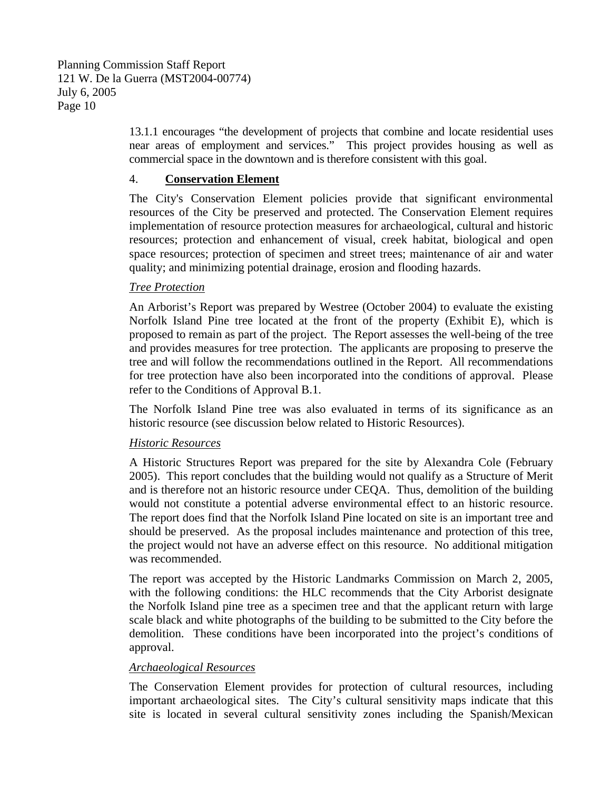13.1.1 encourages "the development of projects that combine and locate residential uses near areas of employment and services." This project provides housing as well as commercial space in the downtown and is therefore consistent with this goal.

#### 4. **Conservation Element**

The City's Conservation Element policies provide that significant environmental resources of the City be preserved and protected. The Conservation Element requires implementation of resource protection measures for archaeological, cultural and historic resources; protection and enhancement of visual, creek habitat, biological and open space resources; protection of specimen and street trees; maintenance of air and water quality; and minimizing potential drainage, erosion and flooding hazards.

#### *Tree Protection*

An Arborist's Report was prepared by Westree (October 2004) to evaluate the existing Norfolk Island Pine tree located at the front of the property (Exhibit E), which is proposed to remain as part of the project. The Report assesses the well-being of the tree and provides measures for tree protection. The applicants are proposing to preserve the tree and will follow the recommendations outlined in the Report. All recommendations for tree protection have also been incorporated into the conditions of approval. Please refer to the Conditions of Approval B.1.

The Norfolk Island Pine tree was also evaluated in terms of its significance as an historic resource (see discussion below related to Historic Resources).

## *Historic Resources*

A Historic Structures Report was prepared for the site by Alexandra Cole (February 2005). This report concludes that the building would not qualify as a Structure of Merit and is therefore not an historic resource under CEQA. Thus, demolition of the building would not constitute a potential adverse environmental effect to an historic resource. The report does find that the Norfolk Island Pine located on site is an important tree and should be preserved. As the proposal includes maintenance and protection of this tree, the project would not have an adverse effect on this resource. No additional mitigation was recommended.

The report was accepted by the Historic Landmarks Commission on March 2, 2005, with the following conditions: the HLC recommends that the City Arborist designate the Norfolk Island pine tree as a specimen tree and that the applicant return with large scale black and white photographs of the building to be submitted to the City before the demolition. These conditions have been incorporated into the project's conditions of approval.

## *Archaeological Resources*

The Conservation Element provides for protection of cultural resources, including important archaeological sites. The City's cultural sensitivity maps indicate that this site is located in several cultural sensitivity zones including the Spanish/Mexican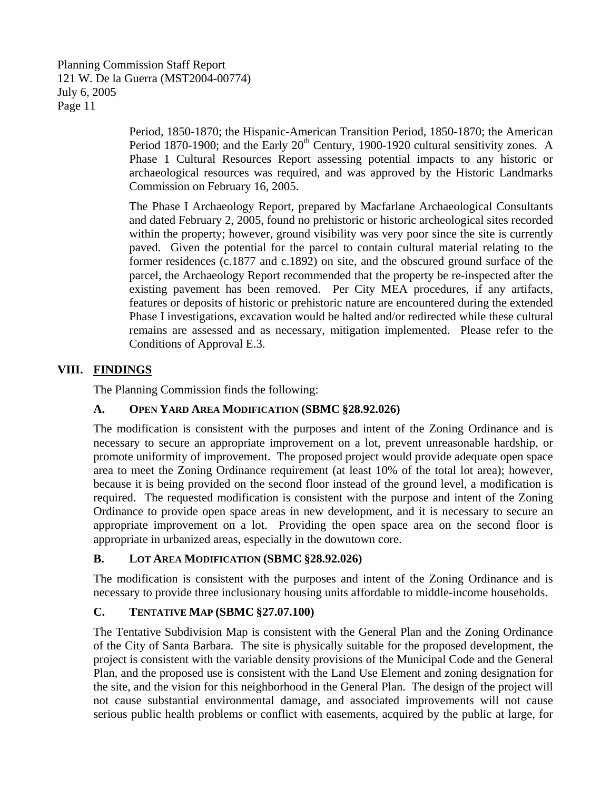Period, 1850-1870; the Hispanic-American Transition Period, 1850-1870; the American Period 1870-1900; and the Early  $20<sup>th</sup>$  Century, 1900-1920 cultural sensitivity zones. A Phase 1 Cultural Resources Report assessing potential impacts to any historic or archaeological resources was required, and was approved by the Historic Landmarks Commission on February 16, 2005.

The Phase I Archaeology Report, prepared by Macfarlane Archaeological Consultants and dated February 2, 2005, found no prehistoric or historic archeological sites recorded within the property; however, ground visibility was very poor since the site is currently paved. Given the potential for the parcel to contain cultural material relating to the former residences (c.1877 and c.1892) on site, and the obscured ground surface of the parcel, the Archaeology Report recommended that the property be re-inspected after the existing pavement has been removed. Per City MEA procedures, if any artifacts, features or deposits of historic or prehistoric nature are encountered during the extended Phase I investigations, excavation would be halted and/or redirected while these cultural remains are assessed and as necessary, mitigation implemented. Please refer to the Conditions of Approval E.3.

## **VIII. FINDINGS**

The Planning Commission finds the following:

## **A. OPEN YARD AREA MODIFICATION (SBMC §28.92.026)**

The modification is consistent with the purposes and intent of the Zoning Ordinance and is necessary to secure an appropriate improvement on a lot, prevent unreasonable hardship, or promote uniformity of improvement. The proposed project would provide adequate open space area to meet the Zoning Ordinance requirement (at least 10% of the total lot area); however, because it is being provided on the second floor instead of the ground level, a modification is required. The requested modification is consistent with the purpose and intent of the Zoning Ordinance to provide open space areas in new development, and it is necessary to secure an appropriate improvement on a lot. Providing the open space area on the second floor is appropriate in urbanized areas, especially in the downtown core.

## **B. LOT AREA MODIFICATION (SBMC §28.92.026)**

The modification is consistent with the purposes and intent of the Zoning Ordinance and is necessary to provide three inclusionary housing units affordable to middle-income households.

## **C. TENTATIVE MAP (SBMC §27.07.100)**

The Tentative Subdivision Map is consistent with the General Plan and the Zoning Ordinance of the City of Santa Barbara. The site is physically suitable for the proposed development, the project is consistent with the variable density provisions of the Municipal Code and the General Plan, and the proposed use is consistent with the Land Use Element and zoning designation for the site, and the vision for this neighborhood in the General Plan. The design of the project will not cause substantial environmental damage, and associated improvements will not cause serious public health problems or conflict with easements, acquired by the public at large, for